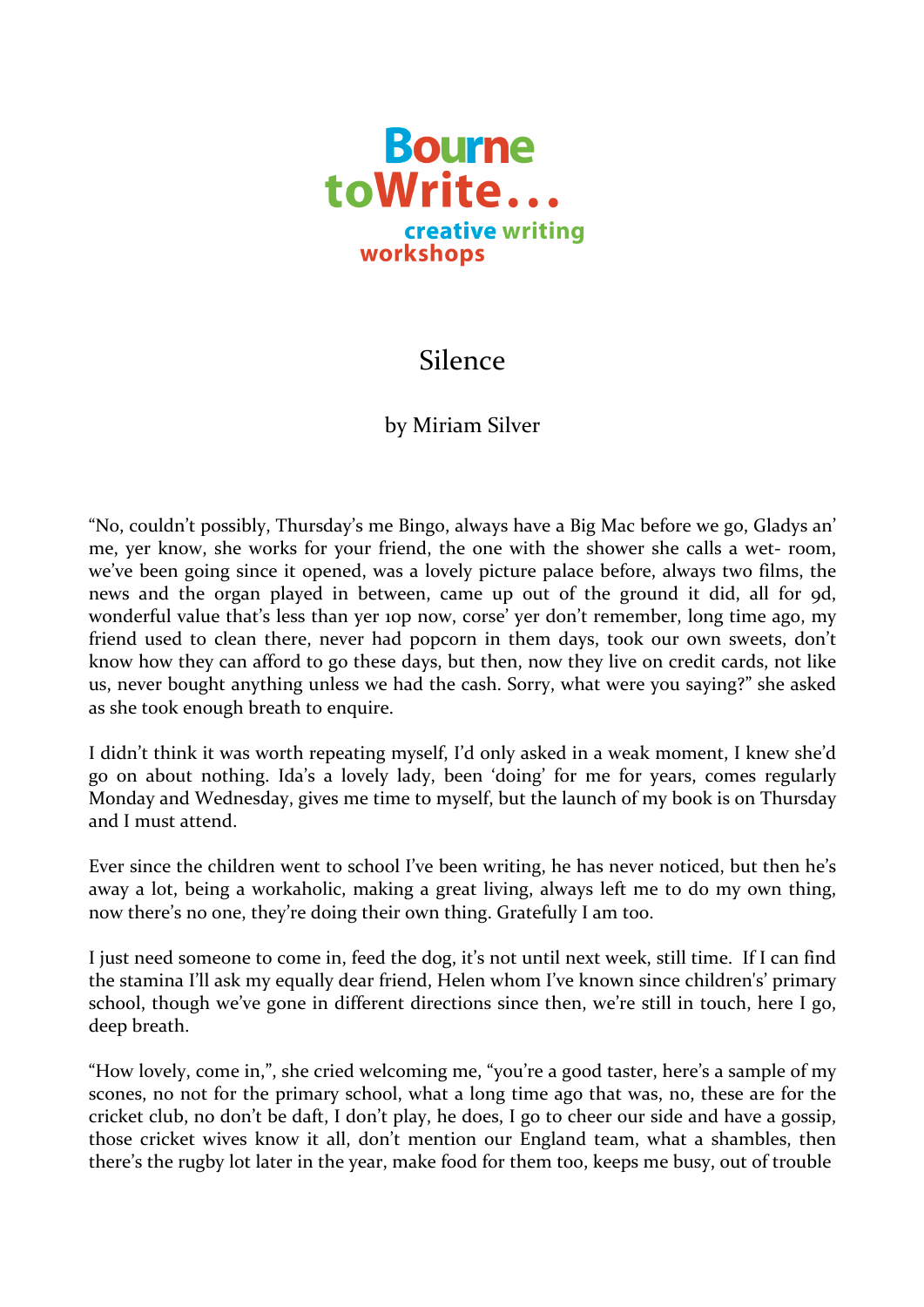

## **Silence**

by Miriam Silver

"No, couldn't possibly, Thursday's me Bingo, always have a Big Mac before we go, Gladys an' me, yer know, she works for your friend, the one with the shower she calls a wet- room, we've been going since it opened, was a lovely picture palace before, always two films, the news and the organ played in between, came up out of the ground it did, all for 9d, wonderful value that's less than yer 10p now, corse' yer don't remember, long time ago, my friend used to clean there, never had popcorn in them days, took our own sweets, don't know how they can afford to go these days, but then, now they live on credit cards, not like us, never bought anything unless we had the cash. Sorry, what were you saying?" she asked as she took enough breath to enquire.

I didn't think it was worth repeating myself, I'd only asked in a weak moment, I knew she'd go on about nothing. Ida's a lovely lady, been 'doing' for me for years, comes regularly Monday and Wednesday, gives me time to myself, but the launch of my book is on Thursday and I must attend.

Ever since the children went to school I've been writing, he has never noticed, but then he's away a lot, being a workaholic, making a great living, always left me to do my own thing, now there's no one, they're doing their own thing. Gratefully I am too.

I just need someone to come in, feed the dog, it's not until next week, still time. If I can find the stamina I'll ask my equally dear friend, Helen whom I've known since children's' primary school, though we've gone in different directions since then, we're still in touch, here I go, deep breath.

"How lovely, come in,", she cried welcoming me, "you're a good taster, here's a sample of my scones, no not for the primary school, what a long time ago that was, no, these are for the cricket club, no don't be daft, I don't play, he does, I go to cheer our side and have a gossip, those cricket wives know it all, don't mention our England team, what a shambles, then there's the rugby lot later in the year, make food for them too, keeps me busy, out of trouble